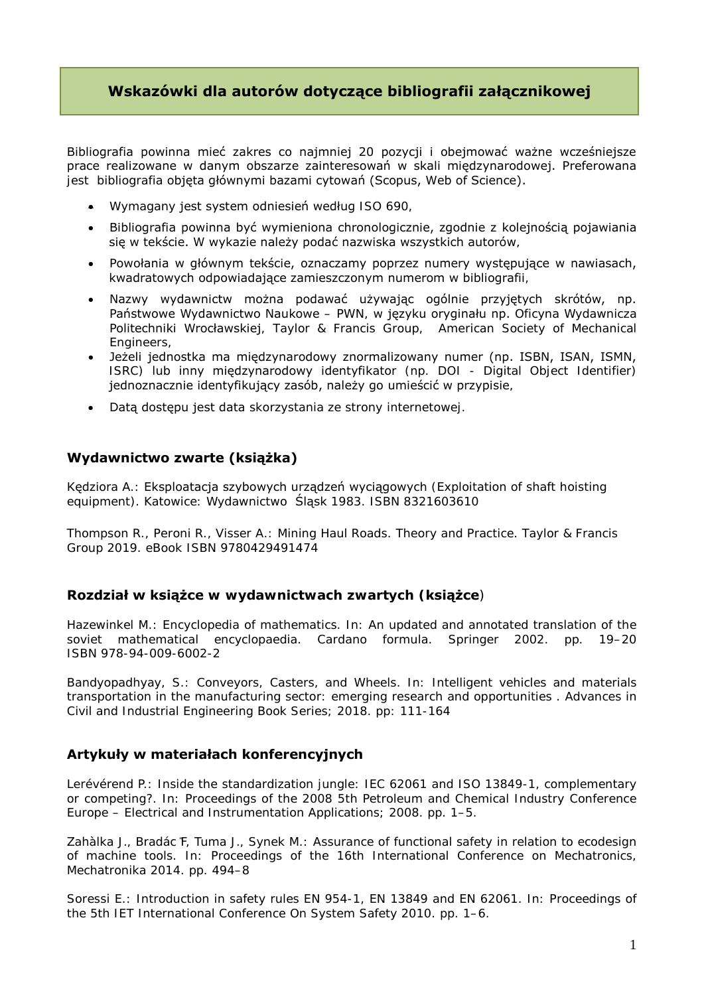# **Wskazówki dla autorów dotyczące bibliografii załącznikowej**

Bibliografia powinna mieć zakres co najmniej 20 pozycji i obejmować ważne wcześniejsze prace realizowane w danym obszarze zainteresowań w skali międzynarodowej. Preferowana jest bibliografia objęta głównymi bazami cytowań (Scopus, Web of Science).

- Wymagany jest system odniesień według ISO 690,
- Bibliografia powinna być wymieniona chronologicznie, zgodnie z kolejnością pojawiania się w tekście. W wykazie należy podać nazwiska wszystkich autorów,
- Powołania w głównym tekście, oznaczamy poprzez numery występujące w nawiasach, kwadratowych odpowiadające zamieszczonym numerom w bibliografii,
- Nazwy wydawnictw można podawać używając ogólnie przyjętych skrótów, np. Państwowe Wydawnictwo Naukowe – PWN, w języku oryginału np. Oficyna Wydawnicza Politechniki Wrocławskiej, Taylor & Francis Group, American Society of Mechanical Engineers,
- Jeżeli jednostka ma międzynarodowy znormalizowany numer (np. ISBN, ISAN, ISMN, ISRC) lub inny międzynarodowy identyfikator (np. DOI - Digital Object Identifier) jednoznacznie identyfikujący zasób, należy go umieścić w przypisie,
- Datą dostępu jest data skorzystania ze strony internetowej.

## **Wydawnictwo zwarte (książka)**

Kędziora A.: Eksploatacja szybowych urządzeń wyciągowych (Exploitation of shaft hoisting equipment). Katowice: Wydawnictwo Śląsk 1983. ISBN 8321603610

Thompson R., Peroni R., Visser A.: Mining Haul Roads. Theory and Practice. Taylor & Francis Group 2019. eBook ISBN 9780429491474

### **Rozdział w książce w wydawnictwach zwartych (książce**)

Hazewinkel M.: Encyclopedia of mathematics. In: An updated and annotated translation of the soviet mathematical encyclopaedia. Cardano formula. Springer 2002. pp. 19–20 ISBN 978-94-009-6002-2

[Bandyopadhyay, S.:](https://apps.webofknowledge.com/OutboundService.do?SID=E6wzlFvbeJkwK4JJHcz&mode=rrcAuthorRecordService&action=go&product=WOS&daisIds=31447019) Conveyors, Casters, and Wheels. In: Intelligent vehicles and materials transportation in the manufacturing sector: emerging research and opportunities . Advances in Civil and Industrial Engineering Book Series; 2018. pp: 111-164

### **Artykuły w materiałach konferencyjnych**

Lerévérend P.: Inside the standardization jungle: IEC 62061 and ISO 13849-1, complementary or competing?. In: Proceedings of the 2008 5th Petroleum and Chemical Industry Conference Europe – Electrical and Instrumentation Applications; 2008. pp. 1–5.

Zahàlka J., Bradác ̎F, Tuma J., Synek M.: Assurance of functional safety in relation to ecodesign of machine tools. In: Proceedings of the 16th International Conference on Mechatronics, Mechatronika 2014. pp. 494–8

Soressi E.: Introduction in safety rules EN 954-1, EN 13849 and EN 62061. In: Proceedings of the 5th IET International Conference On System Safety 2010. pp. 1–6.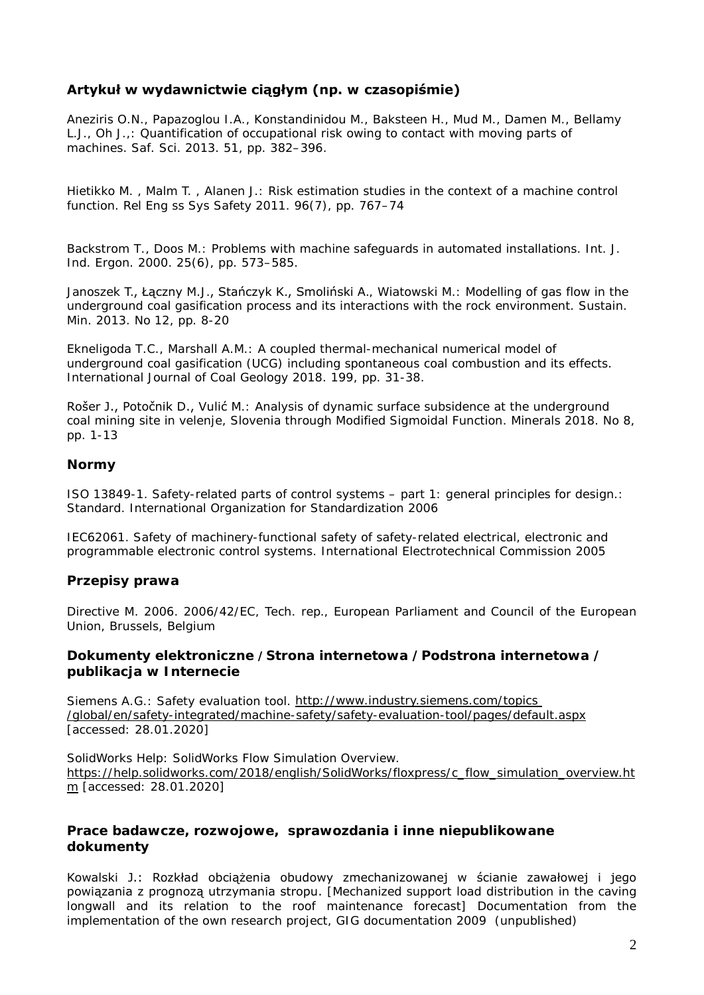# **Artykuł w wydawnictwie ciągłym (np. w czasopiśmie)**

Aneziris O.N., Papazoglou I.A., Konstandinidou M., Baksteen H., Mud M., Damen M., Bellamy L.J., Oh J.,: Quantification of occupational risk owing to contact with moving parts of machines. Saf. Sci. 2013. 51, pp. 382–396.

Hietikko M. , Malm T. , Alanen J.: Risk estimation studies in the context of a machine control function. Rel Eng ss Sys Safety 2011. 96(7), pp. 767–74

Backstrom T., Doos M.: Problems with machine safeguards in automated installations. Int. J. Ind. Ergon. 2000. 25(6), pp. 573–585.

Janoszek T., Łączny M.J., Stańczyk K., Smoliński A., Wiatowski M.: Modelling of gas flow in the underground coal gasification process and its interactions with the rock environment. Sustain. Min. 2013. No 12, pp. 8-20

Ekneligoda T.C., Marshall A.M.: A coupled thermal-mechanical numerical model of underground coal gasification (UCG) including spontaneous coal combustion and its effects. International Journal of Coal Geology 2018. 199, pp. 31-38.

Rošer J., Potočnik D., Vulić M.: Analysis of dynamic surface subsidence at the underground coal mining site in velenje, Slovenia through Modified Sigmoidal Function. Minerals 2018. No 8, pp. 1-13

#### **Normy**

ISO 13849-1. Safety-related parts of control systems – part 1: general principles for design.: Standard. International Organization for Standardization 2006

IEC62061. Safety of machinery-functional safety of safety-related electrical, electronic and programmable electronic control systems. International Electrotechnical Commission 2005

#### **Przepisy prawa**

Directive M. 2006. 2006/42/EC, Tech. rep., European Parliament and Council of the European Union, Brussels, Belgium

#### **Dokumenty elektroniczne /Strona internetowa /Podstrona internetowa / publikacja w Internecie**

Siemens A.G.: Safety evaluation tool. [http://www.industry.siemens.com/topics](http://www.industry.siemens.com/topics%20/global/en/safety-integrated/machine-safety/safety-evaluation-tool/pages/default.aspx)  [/global/en/safety-integrated/machine-safety/safety-evaluation-tool/pages/default.aspx](http://www.industry.siemens.com/topics%20/global/en/safety-integrated/machine-safety/safety-evaluation-tool/pages/default.aspx) [accessed: 28.01.2020]

SolidWorks Help: SolidWorks Flow Simulation Overview. [https://help.solidworks.com/2018/english/SolidWorks/floxpress/c\\_flow\\_simulation\\_overview.ht](https://help.solidworks.com/2018/english/SolidWorks/floxpress/c_flow_simulation_overview.htm) [m](https://help.solidworks.com/2018/english/SolidWorks/floxpress/c_flow_simulation_overview.htm) [accessed: 28.01.2020]

#### **Prace badawcze, rozwojowe, sprawozdania i inne niepublikowane dokumenty**

Kowalski J.: Rozkład obciążenia obudowy zmechanizowanej w ścianie zawałowej i jego powiązania z prognozą utrzymania stropu. [Mechanized support load distribution in the caving longwall and its relation to the roof maintenance forecast] Documentation from the implementation of the own research project, GIG documentation 2009 (unpublished)